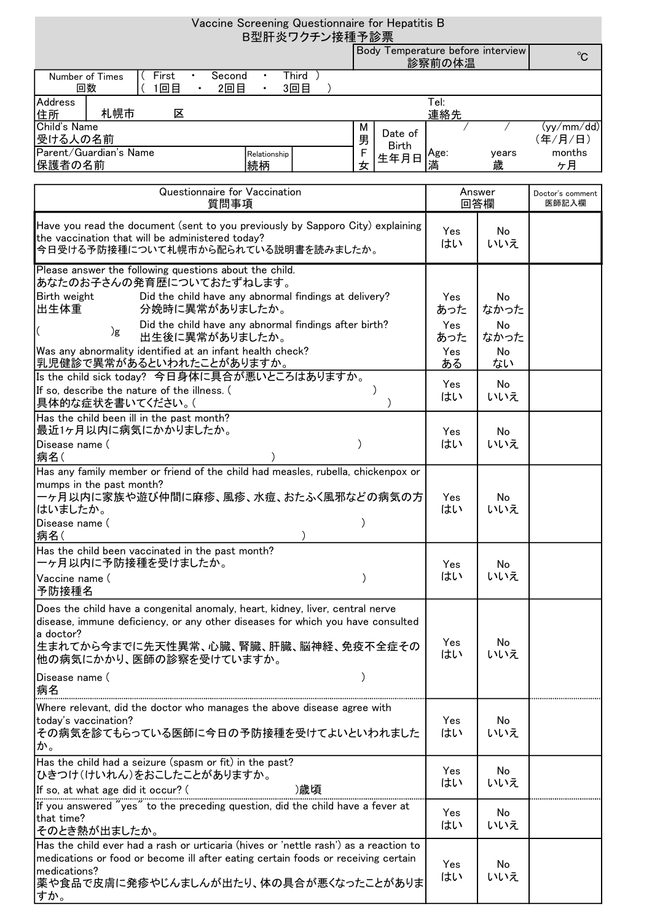| Vaccine Screening Questionnaire for Hepatitis B                                                                                                                           |                                                                                                                                                                                                                    |                     |        |              |                                             |            |                           |  |
|---------------------------------------------------------------------------------------------------------------------------------------------------------------------------|--------------------------------------------------------------------------------------------------------------------------------------------------------------------------------------------------------------------|---------------------|--------|--------------|---------------------------------------------|------------|---------------------------|--|
|                                                                                                                                                                           |                                                                                                                                                                                                                    | B型肝炎ワクチン接種予診票       |        |              |                                             |            |                           |  |
|                                                                                                                                                                           |                                                                                                                                                                                                                    |                     |        |              | Body Temperature before interview<br>診察前の体温 |            | $^{\circ}$ C              |  |
| Number of Times<br>回数                                                                                                                                                     | First<br>Second<br>1回目<br>2回目                                                                                                                                                                                      | Third )<br>٠<br>3回目 |        |              |                                             |            |                           |  |
| Address<br>住所                                                                                                                                                             | 札幌市<br>区                                                                                                                                                                                                           |                     |        |              | $\overline{\mathsf{T}}$ el:<br>連絡先          |            |                           |  |
| Child's Name<br>受ける人の名前                                                                                                                                                   |                                                                                                                                                                                                                    |                     | М<br>男 | Date of      |                                             |            | (yy/mm / dd)<br>(年/月/日)   |  |
|                                                                                                                                                                           | Parent/Guardian's Name                                                                                                                                                                                             | Relationship        | F      | <b>Birth</b> | Age:                                        | vears      | months                    |  |
| 保護者の名前                                                                                                                                                                    |                                                                                                                                                                                                                    | 続柄                  | 女      | 生年月日         | 満                                           | 歳          | ヶ月                        |  |
| Questionnaire for Vaccination<br>質問事項                                                                                                                                     |                                                                                                                                                                                                                    |                     |        |              | Answer<br>回答欄                               |            | Doctor's comment<br>医師記入欄 |  |
| Have you read the document (sent to you previously by Sapporo City) explaining<br>the vaccination that will be administered today?<br>今日受ける予防接種について札幌市から配られている説明書を読みましたか。 |                                                                                                                                                                                                                    |                     |        |              | Yes<br>はい                                   | No<br>いいえ  |                           |  |
|                                                                                                                                                                           | Please answer the following questions about the child.<br>あなたのお子さんの発育歴についておたずねします。                                                                                                                                 |                     |        |              |                                             |            |                           |  |
| Birth weight<br>出生体重                                                                                                                                                      | Did the child have any abnormal findings at delivery?<br>分娩時に異常がありましたか。                                                                                                                                            |                     |        |              | Yes<br>あった                                  | No<br>なかった |                           |  |
| Did the child have any abnormal findings after birth?<br>)g<br>出生後に異常がありましたか。                                                                                             |                                                                                                                                                                                                                    |                     |        |              | Yes<br>あった                                  | No<br>なかった |                           |  |
|                                                                                                                                                                           | Was any abnormality identified at an infant health check?<br>乳児健診で異常があるといわれたことがありますか。                                                                                                                              |                     |        |              | Yes<br>ある                                   | No<br>ない   |                           |  |
|                                                                                                                                                                           | Is the child sick today? 今日身体に具合が悪いところはありますか。                                                                                                                                                                      |                     |        |              | Yes                                         | No         |                           |  |
|                                                                                                                                                                           | If so, describe the nature of the illness. (<br>具体的な症状を書いてください。(                                                                                                                                                   |                     |        |              | はい                                          | いいえ        |                           |  |
|                                                                                                                                                                           | Has the child been ill in the past month?<br>最近1ヶ月以内に病気にかかりましたか。                                                                                                                                                   |                     |        |              | Yes                                         | No         |                           |  |
| Disease name (<br>病名(                                                                                                                                                     |                                                                                                                                                                                                                    |                     |        |              | はい                                          | いいえ        |                           |  |
|                                                                                                                                                                           | Has any family member or friend of the child had measles, rubella, chickenpox or                                                                                                                                   |                     |        |              |                                             |            |                           |  |
| mumps in the past month?<br>ーヶ月以内に家族や遊び仲間に麻疹、風疹、水痘、おたふく風邪などの病気の方                                                                                                          |                                                                                                                                                                                                                    |                     |        | Yes          | No.                                         |            |                           |  |
| はいましたか。<br>Disease name (                                                                                                                                                 |                                                                                                                                                                                                                    |                     |        |              | はい                                          | いいえ        |                           |  |
| 病名(                                                                                                                                                                       |                                                                                                                                                                                                                    |                     |        |              |                                             |            |                           |  |
|                                                                                                                                                                           | Has the child been vaccinated in the past month?<br>ーヶ月以内に予防接種を受けましたか。                                                                                                                                             |                     |        |              | Yes.                                        | No         |                           |  |
| Vaccine name (<br>予防接種名                                                                                                                                                   |                                                                                                                                                                                                                    |                     |        |              | はい                                          | いいえ        |                           |  |
|                                                                                                                                                                           | Does the child have a congenital anomaly, heart, kidney, liver, central nerve                                                                                                                                      |                     |        |              |                                             |            |                           |  |
| a doctor?                                                                                                                                                                 | disease, immune deficiency, or any other diseases for which you have consulted                                                                                                                                     |                     |        |              |                                             |            |                           |  |
|                                                                                                                                                                           | 生まれてから今までに先天性異常、心臓、腎臓、肝臓、脳神経、免疫不全症その<br>他の病気にかかり、医師の診察を受けていますか。                                                                                                                                                    |                     |        |              | Yes<br>はい                                   | No<br>いいえ  |                           |  |
| Disease name (<br> 病名                                                                                                                                                     |                                                                                                                                                                                                                    |                     |        |              |                                             |            |                           |  |
|                                                                                                                                                                           | Where relevant, did the doctor who manages the above disease agree with                                                                                                                                            |                     |        |              | Yes                                         | No         |                           |  |
| today's vaccination?<br>その病気を診てもらっている医師に今日の予防接種を受けてよいといわれました<br>か。                                                                                                        |                                                                                                                                                                                                                    |                     | はい     | いいえ          |                                             |            |                           |  |
| Has the child had a seizure (spasm or fit) in the past?<br> ひきつけ(けいれん)をおこしたことがありますか。                                                                                      |                                                                                                                                                                                                                    |                     |        | Yes          | No                                          |            |                           |  |
| )歳頃<br>If so, at what age did it occur? (<br>If you answered "yes" to the preceding question, did the child have a fever at                                               |                                                                                                                                                                                                                    |                     |        |              | はい                                          | いいえ        |                           |  |
| that time?<br>そのとき熱が出ましたか。                                                                                                                                                |                                                                                                                                                                                                                    |                     |        | Yes<br>はい    | No<br>いいえ                                   |            |                           |  |
| medications?<br> すか。                                                                                                                                                      | Has the child ever had a rash or urticaria (hives or 'nettle rash') as a reaction to<br>medications or food or become ill after eating certain foods or receiving certain<br>薬や食品で皮膚に発疹やじんましんが出たり、体の具合が悪くなったことがありま |                     |        |              | Yes<br>はい                                   | No<br>いいえ  |                           |  |